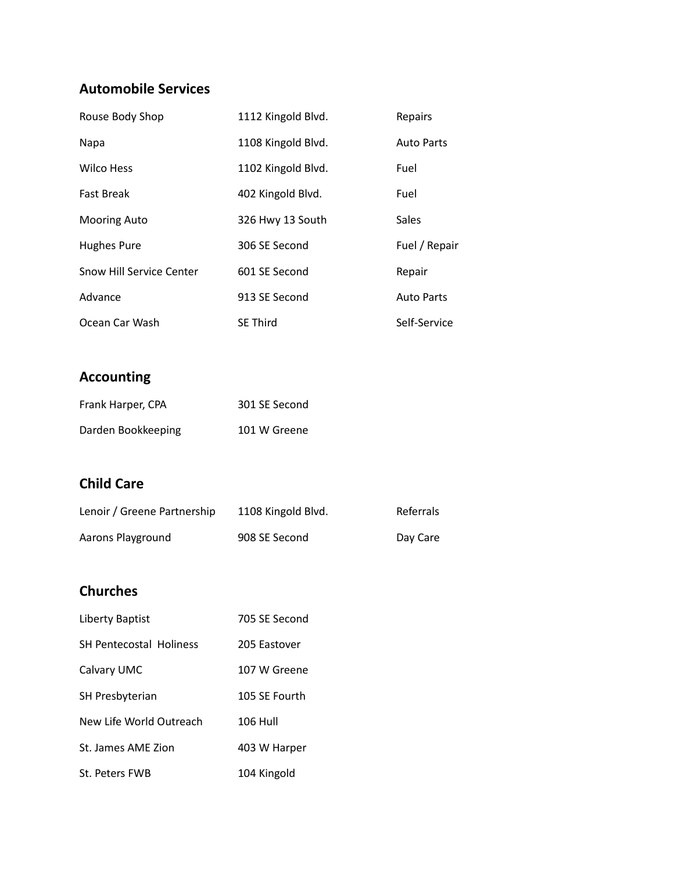## **Automobile Services**

| Rouse Body Shop          | 1112 Kingold Blvd. | Repairs           |
|--------------------------|--------------------|-------------------|
| Napa                     | 1108 Kingold Blvd. | <b>Auto Parts</b> |
| <b>Wilco Hess</b>        | 1102 Kingold Blvd. | Fuel              |
| <b>Fast Break</b>        | 402 Kingold Blvd.  | Fuel              |
| <b>Mooring Auto</b>      | 326 Hwy 13 South   | Sales             |
| <b>Hughes Pure</b>       | 306 SE Second      | Fuel / Repair     |
| Snow Hill Service Center | 601 SE Second      | Repair            |
| Advance                  | 913 SE Second      | <b>Auto Parts</b> |
| Ocean Car Wash           | <b>SE Third</b>    | Self-Service      |

# **Accounting**

| Frank Harper, CPA  | 301 SE Second |
|--------------------|---------------|
| Darden Bookkeeping | 101 W Greene  |

### **Child Care**

| Lenoir / Greene Partnership | 1108 Kingold Blvd. | Referrals |
|-----------------------------|--------------------|-----------|
| Aarons Playground           | 908 SE Second      | Day Care  |

## **Churches**

| Liberty Baptist                | 705 SE Second |
|--------------------------------|---------------|
| <b>SH Pentecostal Holiness</b> | 205 Fastover  |
| Calvary UMC                    | 107 W Greene  |
| <b>SH Presbyterian</b>         | 105 SF Fourth |
| New Life World Outreach        | 106 Hull      |
| St. James AMF Zion             | 403 W Harper  |
| St. Peters FWB                 | 104 Kingold   |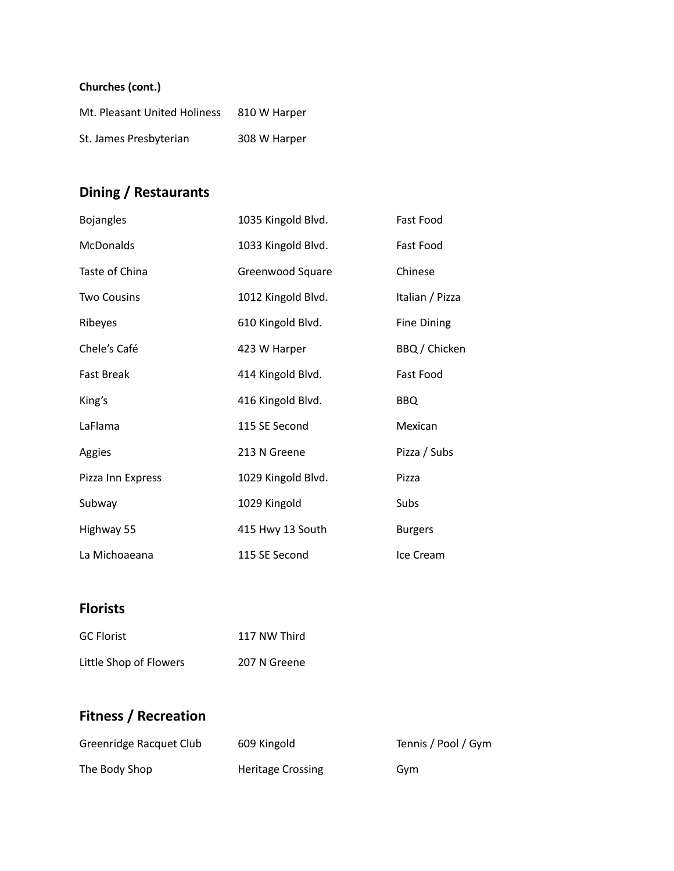#### **Churches (cont.)**

| Mt. Pleasant United Holiness | 810 W Harper |
|------------------------------|--------------|
| St. James Presbyterian       | 308 W Harper |

# **Dining / Restaurants**

| <b>Bojangles</b>   | 1035 Kingold Blvd. | Fast Food          |
|--------------------|--------------------|--------------------|
| <b>McDonalds</b>   | 1033 Kingold Blvd. | Fast Food          |
| Taste of China     | Greenwood Square   | Chinese            |
| <b>Two Cousins</b> | 1012 Kingold Blvd. | Italian / Pizza    |
| Ribeyes            | 610 Kingold Blvd.  | <b>Fine Dining</b> |
| Chele's Café       | 423 W Harper       | BBQ / Chicken      |
| <b>Fast Break</b>  | 414 Kingold Blvd.  | Fast Food          |
| King's             | 416 Kingold Blvd.  | <b>BBQ</b>         |
| LaFlama            | 115 SE Second      | Mexican            |
| Aggies             | 213 N Greene       | Pizza / Subs       |
| Pizza Inn Express  | 1029 Kingold Blvd. | Pizza              |
| Subway             | 1029 Kingold       | Subs               |
| Highway 55         | 415 Hwy 13 South   | <b>Burgers</b>     |
| La Michoaeana      | 115 SE Second      | Ice Cream          |

# **Florists**

| <b>GC Florist</b>      | 117 NW Third |
|------------------------|--------------|
| Little Shop of Flowers | 207 N Greene |

# **Fitness / Recreation**

| Greenridge Racquet Club | 609 Kingold              | Tennis / Pool / Gym |
|-------------------------|--------------------------|---------------------|
| The Body Shop           | <b>Heritage Crossing</b> | Gvm                 |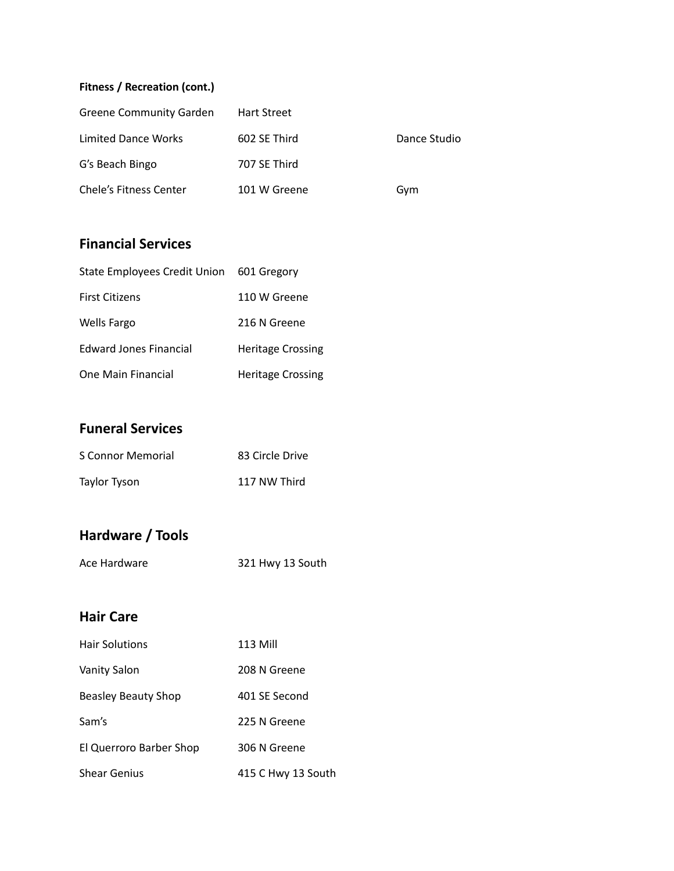#### **Fitness / Recreation (cont.)**

| Greene Community Garden    | <b>Hart Street</b> |              |
|----------------------------|--------------------|--------------|
| <b>Limited Dance Works</b> | 602 SE Third       | Dance Studio |
| G's Beach Bingo            | 707 SE Third       |              |
| Chele's Fitness Center     | 101 W Greene       | Gym          |

### **Financial Services**

| <b>State Employees Credit Union</b> | 601 Gregory              |
|-------------------------------------|--------------------------|
| <b>First Citizens</b>               | 110 W Greene             |
| <b>Wells Fargo</b>                  | 216 N Greene             |
| <b>Edward Jones Financial</b>       | <b>Heritage Crossing</b> |
| One Main Financial                  | <b>Heritage Crossing</b> |

### **Funeral Services**

| S Connor Memorial | 83 Circle Drive |
|-------------------|-----------------|
| Taylor Tyson      | 117 NW Third    |

# **Hardware / Tools**

### **Hair Care**

| <b>Hair Solutions</b>      | 113 Mill           |
|----------------------------|--------------------|
| <b>Vanity Salon</b>        | 208 N Greene       |
| <b>Beasley Beauty Shop</b> | 401 SE Second      |
| Sam's                      | 225 N Greene       |
| El Querroro Barber Shop    | 306 N Greene       |
| <b>Shear Genius</b>        | 415 C Hwy 13 South |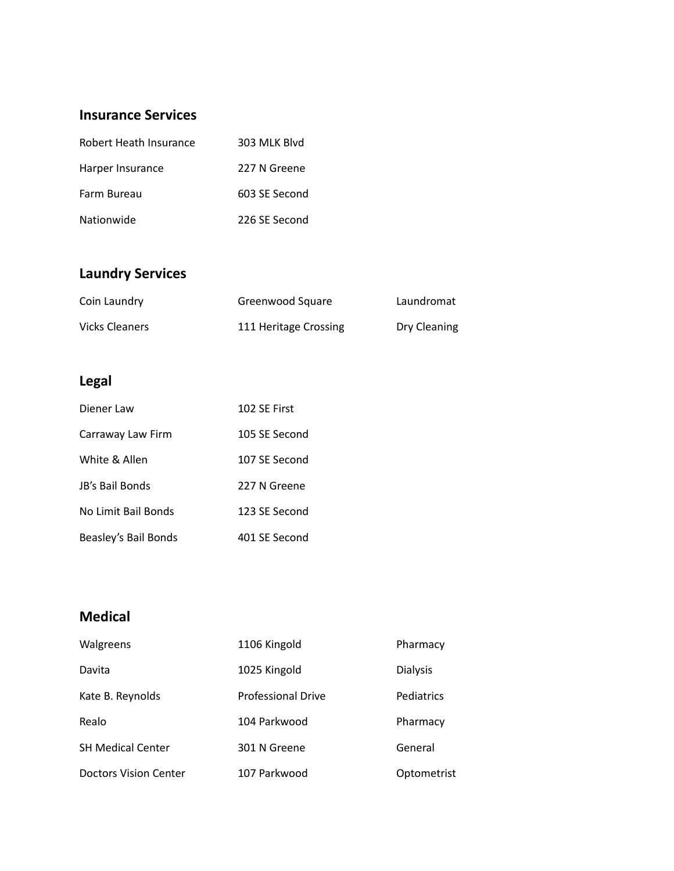### **Insurance Services**

| Robert Heath Insurance | 303 MLK Blvd  |
|------------------------|---------------|
| Harper Insurance       | 227 N Greene  |
| Farm Bureau            | 603 SE Second |
| Nationwide             | 226 SE Second |

# **Laundry Services**

| Coin Laundry          | Greenwood Square      | Laundromat   |
|-----------------------|-----------------------|--------------|
| <b>Vicks Cleaners</b> | 111 Heritage Crossing | Dry Cleaning |

# **Legal**

| Diener Law           | 102 SE First  |
|----------------------|---------------|
| Carraway Law Firm    | 105 SE Second |
| White & Allen        | 107 SE Second |
| JB's Bail Bonds      | 227 N Greene  |
| No Limit Bail Bonds  | 123 SE Second |
| Beasley's Bail Bonds | 401 SE Second |

## **Medical**

| Walgreens                    | 1106 Kingold              | Pharmacy        |
|------------------------------|---------------------------|-----------------|
| Davita                       | 1025 Kingold              | <b>Dialysis</b> |
| Kate B. Reynolds             | <b>Professional Drive</b> | Pediatrics      |
| Realo                        | 104 Parkwood              | Pharmacy        |
| <b>SH Medical Center</b>     | 301 N Greene              | General         |
| <b>Doctors Vision Center</b> | 107 Parkwood              | Optometrist     |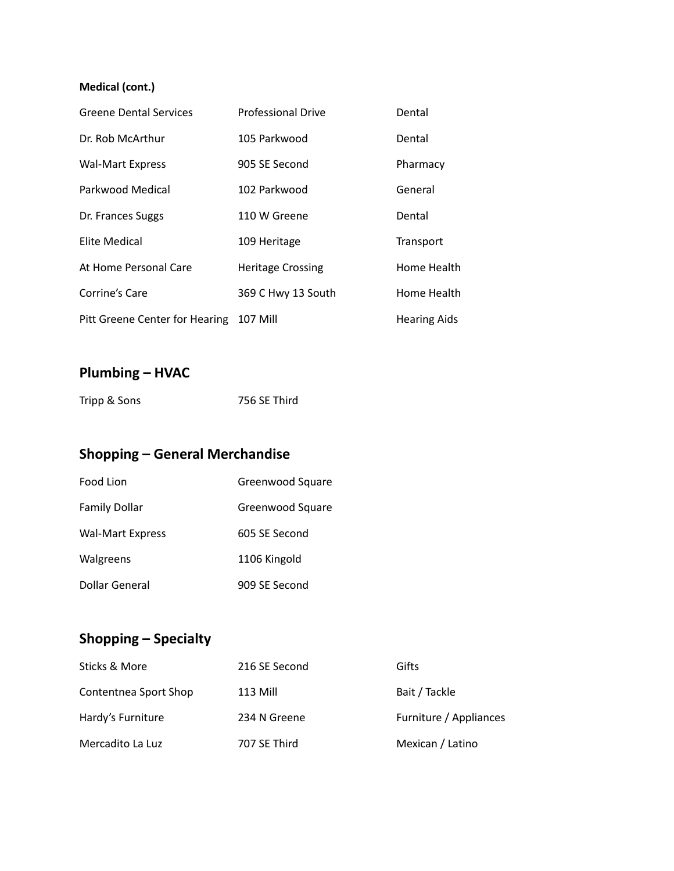#### **Medical (cont.)**

| <b>Greene Dental Services</b>           | <b>Professional Drive</b> | Dental              |
|-----------------------------------------|---------------------------|---------------------|
| Dr. Rob McArthur                        | 105 Parkwood              | Dental              |
| <b>Wal-Mart Express</b>                 | 905 SE Second             | Pharmacy            |
| Parkwood Medical                        | 102 Parkwood              | General             |
| Dr. Frances Suggs                       | 110 W Greene              | Dental              |
| Elite Medical                           | 109 Heritage              | Transport           |
| At Home Personal Care                   | <b>Heritage Crossing</b>  | Home Health         |
| Corrine's Care                          | 369 C Hwy 13 South        | Home Health         |
| Pitt Greene Center for Hearing 107 Mill |                           | <b>Hearing Aids</b> |

# **Plumbing – HVAC**

| Tripp & Sons | 756 SE Third |
|--------------|--------------|
|--------------|--------------|

# **Shopping – General Merchandise**

| Food Lion               | Greenwood Square |
|-------------------------|------------------|
| <b>Family Dollar</b>    | Greenwood Square |
| <b>Wal-Mart Express</b> | 605 SE Second    |
| Walgreens               | 1106 Kingold     |
| Dollar General          | 909 SE Second    |

# **Shopping – Specialty**

| Sticks & More         | 216 SE Second   | Gifts                  |
|-----------------------|-----------------|------------------------|
| Contentnea Sport Shop | <b>113 Mill</b> | Bait / Tackle          |
| Hardy's Furniture     | 234 N Greene    | Furniture / Appliances |
| Mercadito La Luz      | 707 SE Third    | Mexican / Latino       |